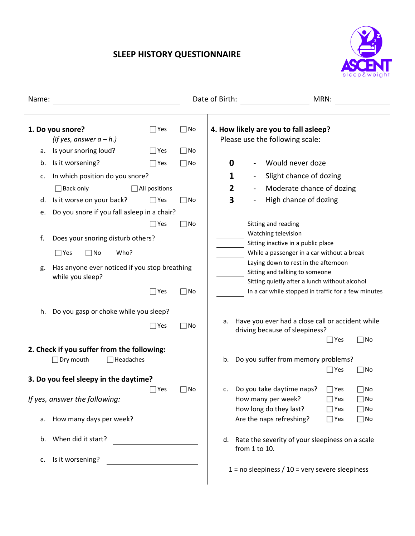## **SLEEP HISTORY QUESTIONNAIRE**



| Name:                                 |                                                     |               |           | Date of Birth:                                                           | MRN:                                                                            |  |  |
|---------------------------------------|-----------------------------------------------------|---------------|-----------|--------------------------------------------------------------------------|---------------------------------------------------------------------------------|--|--|
|                                       |                                                     |               |           |                                                                          |                                                                                 |  |  |
| 1. Do you snore?<br> Yes<br>$\Box$ No |                                                     |               |           | 4. How likely are you to fall asleep?<br>Please use the following scale: |                                                                                 |  |  |
| а.                                    | (If yes, answer $a - h$ .)<br>Is your snoring loud? | $\Box$ Yes    | $\Box$ No |                                                                          |                                                                                 |  |  |
|                                       | Is it worsening?                                    | $\exists$ Yes | $\Box$ No | 0                                                                        | Would never doze                                                                |  |  |
| b.                                    |                                                     |               |           |                                                                          |                                                                                 |  |  |
| c.                                    | In which position do you snore?                     |               |           | 1                                                                        | Slight chance of dozing                                                         |  |  |
|                                       | $\Box$ Back only                                    | All positions |           | $\overline{2}$                                                           | Moderate chance of dozing                                                       |  |  |
| d.                                    | Is it worse on your back?                           | $\bigcap$ Yes | $\neg$ No | 3                                                                        | High chance of dozing                                                           |  |  |
| e.                                    | Do you snore if you fall asleep in a chair?         |               |           |                                                                          |                                                                                 |  |  |
|                                       |                                                     | Yes           | $\Box$ No | Sitting and reading                                                      | Watching television                                                             |  |  |
| f.                                    | Does your snoring disturb others?                   |               |           |                                                                          | Sitting inactive in a public place                                              |  |  |
|                                       | $\Box$ Yes<br>Who?<br>$\Box$ No                     |               |           |                                                                          | While a passenger in a car without a break                                      |  |  |
| g.                                    | Has anyone ever noticed if you stop breathing       |               |           | Laying down to rest in the afternoon                                     |                                                                                 |  |  |
|                                       | while you sleep?                                    |               |           |                                                                          | Sitting and talking to someone<br>Sitting quietly after a lunch without alcohol |  |  |
|                                       |                                                     | $\exists$ Yes | $\Box$ No |                                                                          | In a car while stopped in traffic for a few minutes                             |  |  |
|                                       |                                                     |               |           |                                                                          |                                                                                 |  |  |
| h.                                    | Do you gasp or choke while you sleep?               |               |           |                                                                          |                                                                                 |  |  |
|                                       |                                                     | $\exists$ Yes | $\Box$ No | a.                                                                       | Have you ever had a close call or accident while                                |  |  |
|                                       |                                                     |               |           |                                                                          | driving because of sleepiness?<br>$\Box$ No<br>$\Box$ Yes                       |  |  |
|                                       | 2. Check if you suffer from the following:          |               |           |                                                                          |                                                                                 |  |  |
|                                       | $\Box$ Dry mouth<br>Headaches                       |               |           | b.                                                                       | Do you suffer from memory problems?                                             |  |  |
|                                       |                                                     |               |           |                                                                          | $\square$ Yes<br>$\square$ No                                                   |  |  |
|                                       | 3. Do you feel sleepy in the daytime?               | Yes           | $\neg$ No | c.                                                                       | Do you take daytime naps?<br>$\Box$ Yes<br>$\Box$ No                            |  |  |
|                                       | If yes, answer the following:                       |               |           | How many per week?                                                       | $\Box$ Yes<br>$\Box$ No                                                         |  |  |
|                                       |                                                     |               |           | How long do they last?                                                   | $\Box$ Yes<br>$\Box$ No                                                         |  |  |
| a.                                    | How many days per week?                             |               |           | Are the naps refreshing?                                                 | $\Box$ Yes<br>$\Box$ No                                                         |  |  |
|                                       |                                                     |               |           |                                                                          |                                                                                 |  |  |
| b.                                    | When did it start?<br>$\overline{\phantom{a}}$      |               |           | from 1 to 10.                                                            | d. Rate the severity of your sleepiness on a scale                              |  |  |
| c.                                    | Is it worsening?                                    |               |           |                                                                          |                                                                                 |  |  |
|                                       |                                                     |               |           |                                                                          | $1 = no$ sleepiness / $10 =$ very severe sleepiness                             |  |  |
|                                       |                                                     |               |           |                                                                          |                                                                                 |  |  |